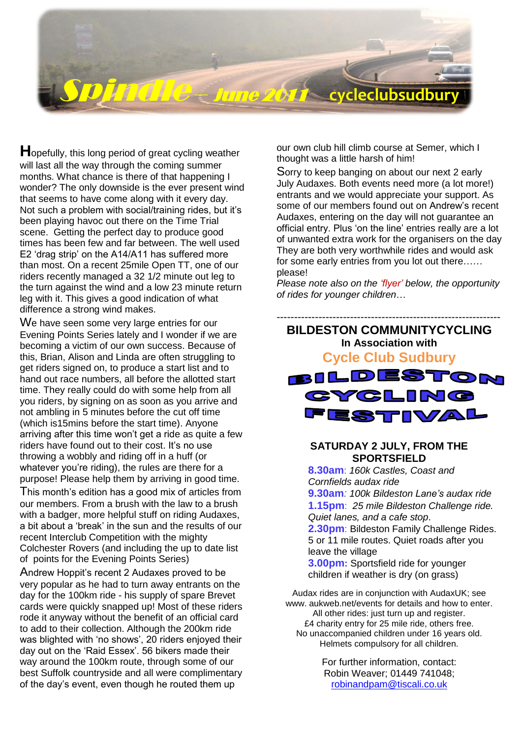

**H**opefully, this long period of great cycling weather will last all the way through the coming summer months. What chance is there of that happening I wonder? The only downside is the ever present wind that seems to have come along with it every day. Not such a problem with social/training rides, but it's Not such a problem with social training nues, been playing havoc out there on the Time Trial scene. Getting the perfect day to produce good times has been few and far between. The well used E2 'drag strip' on the A14/A11 has suffered more than most. On a recent 25mile Open TT, one of our riders recently managed a 32 1/2 minute out leg to the turn against the wind and a low 23 minute return leg with it. This gives a good indication of what difference a strong wind makes.

We have seen some very large entries for our Evening Points Series lately and I wonder if we are becoming a victim of our own success. Because of this, Brian, Alison and Linda are often struggling to get riders signed on, to produce a start list and to hand out race numbers, all before the allotted start time. They really could do with some help from all you riders, by signing on as soon as you arrive and not ambling in 5 minutes before the cut off time (which is15mins before the start time). Anyone arriving after this time won"t get a ride as quite a few riders have found out to their cost. It's no use throwing a wobbly and riding off in a huff (or whatever you"re riding), the rules are there for a purpose! Please help them by arriving in good time. This month"s edition has a good mix of articles from our members. From a brush with the law to a brush

with a badger, more helpful stuff on riding Audaxes, a bit about a "break" in the sun and the results of our recent Interclub Competition with the mighty Colchester Rovers (and including the up to date list of points for the Evening Points Series)

Andrew Hoppit"s recent 2 Audaxes proved to be very popular as he had to turn away entrants on the day for the 100km ride - his supply of spare Brevet cards were quickly snapped up! Most of these riders rode it anyway without the benefit of an official card to add to their collection. Although the 200km ride was blighted with 'no shows', 20 riders enjoyed their day out on the 'Raid Essex'. 56 bikers made their way around the 100km route, through some of our best Suffolk countryside and all were complimentary of the day"s event, even though he routed them up

our own club hill climb course at Semer, which I thought was a little harsh of him!

Sorry to keep banging on about our next 2 early July Audaxes. Both events need more (a lot more!) entrants and we would appreciate your support. As some of our members found out on Andrew"s recent Audaxes, entering on the day will not guarantee an official entry. Plus "on the line" entries really are a lot of unwanted extra work for the organisers on the day They are both very worthwhile rides and would ask for some early entries from you lot out there…… please!

*Please note also on the 'flyer' below, the opportunity of rides for younger children*…



#### **SATURDAY 2 JULY, FROM THE SPORTSFIELD**

**8.30am**: *160k Castles, Coast and Cornfields audax ride* **9.30am***: 100k Bildeston Lane's audax ride* **1.15pm**: *25 mile Bildeston Challenge ride. Quiet lanes, and a cafe stop*. **2.30pm**: Bildeston Family Challenge Rides. 5 or 11 mile routes. Quiet roads after you leave the village **3.00pm:** Sportsfield ride for younger children if weather is dry (on grass)

Audax rides are in conjunction with AudaxUK; see www. aukweb.net/events for details and how to enter. All other rides: just turn up and register. £4 charity entry for 25 mile ride, others free. No unaccompanied children under 16 years old. Helmets compulsory for all children.

> For further information, contact: Robin Weaver; 01449 741048; [robinandpam@tiscali.co.uk](mailto:robinandpam@tiscali.co.uk)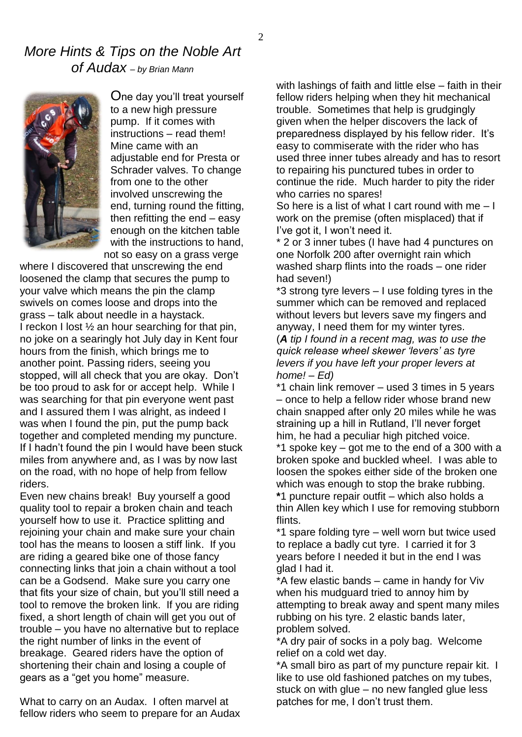### *More Hints & Tips on the Noble Art of Audax – by Brian Mann*



One day you"ll treat yourself to a new high pressure pump. If it comes with instructions – read them! Mine came with an adjustable end for Presta or Schrader valves. To change from one to the other involved unscrewing the end, turning round the fitting, then refitting the end – easy enough on the kitchen table with the instructions to hand, not so easy on a grass verge

where I discovered that unscrewing the end loosened the clamp that secures the pump to your valve which means the pin the clamp swivels on comes loose and drops into the grass – talk about needle in a haystack. I reckon I lost  $\frac{1}{2}$  an hour searching for that pin, no joke on a searingly hot July day in Kent four hours from the finish, which brings me to another point. Passing riders, seeing you stopped, will all check that you are okay. Don"t be too proud to ask for or accept help. While I was searching for that pin everyone went past and I assured them I was alright, as indeed I was when I found the pin, put the pump back together and completed mending my puncture. If I hadn"t found the pin I would have been stuck miles from anywhere and, as I was by now last on the road, with no hope of help from fellow riders.

Even new chains break! Buy yourself a good quality tool to repair a broken chain and teach yourself how to use it. Practice splitting and rejoining your chain and make sure your chain tool has the means to loosen a stiff link. If you are riding a geared bike one of those fancy connecting links that join a chain without a tool can be a Godsend. Make sure you carry one that fits your size of chain, but you"ll still need a tool to remove the broken link. If you are riding fixed, a short length of chain will get you out of trouble – you have no alternative but to replace the right number of links in the event of breakage. Geared riders have the option of shortening their chain and losing a couple of gears as a "get you home" measure.

What to carry on an Audax. I often marvel at fellow riders who seem to prepare for an Audax with lashings of faith and little else – faith in their fellow riders helping when they hit mechanical trouble. Sometimes that help is grudgingly given when the helper discovers the lack of preparedness displayed by his fellow rider. It's easy to commiserate with the rider who has used three inner tubes already and has to resort to repairing his punctured tubes in order to continue the ride. Much harder to pity the rider who carries no spares!

So here is a list of what I cart round with me  $-1$ work on the premise (often misplaced) that if I've got it, I won't need it.

\* 2 or 3 inner tubes (I have had 4 punctures on one Norfolk 200 after overnight rain which washed sharp flints into the roads – one rider had seven!)

\*3 strong tyre levers – I use folding tyres in the summer which can be removed and replaced without levers but levers save my fingers and anyway, I need them for my winter tyres. (*A tip I found in a recent mag, was to use the quick release wheel skewer 'levers' as tyre* 

*levers if you have left your proper levers at home! – Ed)* \*1 chain link remover – used 3 times in 5 years

– once to help a fellow rider whose brand new chain snapped after only 20 miles while he was straining up a hill in Rutland, I"ll never forget him, he had a peculiar high pitched voice. \*1 spoke key – got me to the end of a 300 with a broken spoke and buckled wheel. I was able to loosen the spokes either side of the broken one which was enough to stop the brake rubbing. **\***1 puncture repair outfit – which also holds a thin Allen key which I use for removing stubborn flints.

\*1 spare folding tyre – well worn but twice used to replace a badly cut tyre. I carried it for 3 years before I needed it but in the end I was glad I had it.

\*A few elastic bands – came in handy for Viv when his mudguard tried to annoy him by attempting to break away and spent many miles rubbing on his tyre. 2 elastic bands later, problem solved.

\*A dry pair of socks in a poly bag. Welcome relief on a cold wet day.

\*A small biro as part of my puncture repair kit. I like to use old fashioned patches on my tubes, stuck on with glue – no new fangled glue less patches for me, I don"t trust them.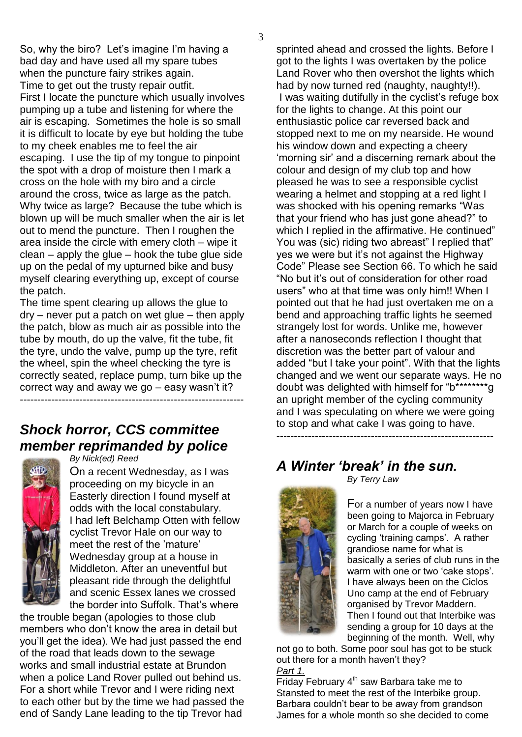3

So, why the biro? Let's imagine I'm having a bad day and have used all my spare tubes when the puncture fairy strikes again. Time to get out the trusty repair outfit. First I locate the puncture which usually involves pumping up a tube and listening for where the air is escaping. Sometimes the hole is so small it is difficult to locate by eye but holding the tube to my cheek enables me to feel the air escaping. I use the tip of my tongue to pinpoint the spot with a drop of moisture then I mark a cross on the hole with my biro and a circle around the cross, twice as large as the patch. Why twice as large? Because the tube which is blown up will be much smaller when the air is let out to mend the puncture. Then I roughen the area inside the circle with emery cloth – wipe it clean – apply the glue – hook the tube glue side up on the pedal of my upturned bike and busy myself clearing everything up, except of course the patch.

The time spent clearing up allows the glue to dry – never put a patch on wet glue – then apply the patch, blow as much air as possible into the tube by mouth, do up the valve, fit the tube, fit the tyre, undo the valve, pump up the tyre, refit the wheel, spin the wheel checking the tyre is correctly seated, replace pump, turn bike up the correct way and away we go – easy wasn"t it? ----------------------------------------------------------------

## *Shock horror, CCS committee member reprimanded by police*



*By Nick(ed) Reed*

On a recent Wednesday, as I was proceeding on my bicycle in an Easterly direction I found myself at odds with the local constabulary. I had left Belchamp Otten with fellow cyclist Trevor Hale on our way to meet the rest of the 'mature' Wednesday group at a house in Middleton. After an uneventful but pleasant ride through the delightful and scenic Essex lanes we crossed the border into Suffolk. That"s where

the trouble began (apologies to those club members who don"t know the area in detail but you"ll get the idea). We had just passed the end of the road that leads down to the sewage works and small industrial estate at Brundon when a police Land Rover pulled out behind us. For a short while Trevor and I were riding next to each other but by the time we had passed the end of Sandy Lane leading to the tip Trevor had

sprinted ahead and crossed the lights. Before I got to the lights I was overtaken by the police Land Rover who then overshot the lights which had by now turned red (naughty, naughty!!). I was waiting dutifully in the cyclist's refuge box for the lights to change. At this point our enthusiastic police car reversed back and stopped next to me on my nearside. He wound his window down and expecting a cheery "morning sir" and a discerning remark about the colour and design of my club top and how pleased he was to see a responsible cyclist wearing a helmet and stopping at a red light I was shocked with his opening remarks "Was that your friend who has just gone ahead?" to which I replied in the affirmative. He continued" You was (sic) riding two abreast" I replied that" yes we were but it"s not against the Highway Code" Please see Section 66. To which he said "No but it"s out of consideration for other road users" who at that time was only him!! When I pointed out that he had just overtaken me on a bend and approaching traffic lights he seemed strangely lost for words. Unlike me, however after a nanoseconds reflection I thought that discretion was the better part of valour and added "but I take your point". With that the lights changed and we went our separate ways. He no doubt was delighted with himself for "b\*\*\*\*\*\*\*\*g an upright member of the cycling community and I was speculating on where we were going to stop and what cake I was going to have. --------------------------------------------------------------

*A Winter 'break' in the sun.*



For a number of years now I have been going to Majorca in February or March for a couple of weeks on cycling 'training camps'. A rather grandiose name for what is basically a series of club runs in the warm with one or two 'cake stops'. I have always been on the Ciclos Uno camp at the end of February organised by Trevor Maddern. Then I found out that Interbike was sending a group for 10 days at the beginning of the month. Well, why

not go to both. Some poor soul has got to be stuck out there for a month haven't they? *Part 1.*

 $\overline{\text{Friday}}$  February 4<sup>th</sup> saw Barbara take me to Stansted to meet the rest of the Interbike group. Barbara couldn"t bear to be away from grandson James for a whole month so she decided to come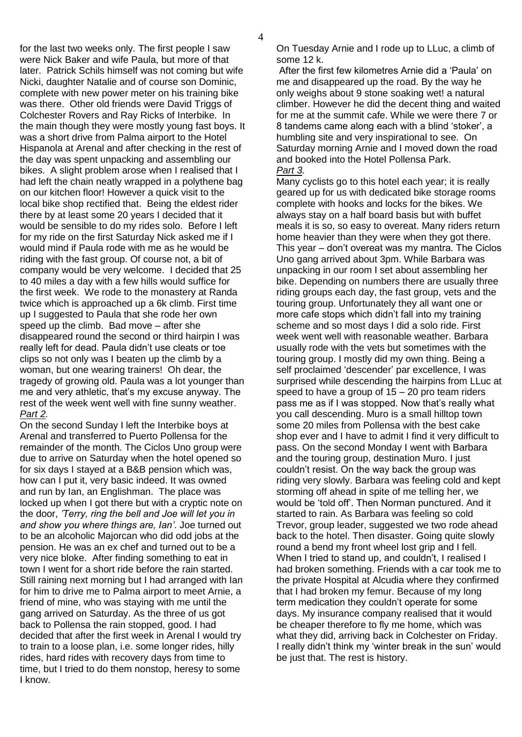for the last two weeks only. The first people I saw were Nick Baker and wife Paula, but more of that later. Patrick Schils himself was not coming but wife Nicki, daughter Natalie and of course son Dominic, complete with new power meter on his training bike was there. Other old friends were David Triggs of Colchester Rovers and Ray Ricks of Interbike. In the main though they were mostly young fast boys. It was a short drive from Palma airport to the Hotel Hispanola at Arenal and after checking in the rest of the day was spent unpacking and assembling our bikes. A slight problem arose when I realised that I had left the chain neatly wrapped in a polythene bag on our kitchen floor! However a quick visit to the local bike shop rectified that. Being the eldest rider there by at least some 20 years I decided that it would be sensible to do my rides solo. Before I left for my ride on the first Saturday Nick asked me if I would mind if Paula rode with me as he would be riding with the fast group. Of course not, a bit of company would be very welcome. I decided that 25 to 40 miles a day with a few hills would suffice for the first week. We rode to the monastery at Randa twice which is approached up a 6k climb. First time up I suggested to Paula that she rode her own speed up the climb. Bad move – after she disappeared round the second or third hairpin I was really left for dead. Paula didn"t use cleats or toe clips so not only was I beaten up the climb by a woman, but one wearing trainers! Oh dear, the tragedy of growing old. Paula was a lot younger than me and very athletic, that"s my excuse anyway. The rest of the week went well with fine sunny weather. *Part 2.*

On the second Sunday I left the Interbike boys at Arenal and transferred to Puerto Pollensa for the remainder of the month. The Ciclos Uno group were due to arrive on Saturday when the hotel opened so for six days I stayed at a B&B pension which was, how can I put it, very basic indeed. It was owned and run by Ian, an Englishman. The place was locked up when I got there but with a cryptic note on the door, *'Terry, ring the bell and Joe will let you in and show you where things are, Ian'*. Joe turned out to be an alcoholic Majorcan who did odd jobs at the pension. He was an ex chef and turned out to be a very nice bloke. After finding something to eat in town I went for a short ride before the rain started. Still raining next morning but I had arranged with Ian for him to drive me to Palma airport to meet Arnie, a friend of mine, who was staying with me until the gang arrived on Saturday. As the three of us got back to Pollensa the rain stopped, good. I had decided that after the first week in Arenal I would try to train to a loose plan, i.e. some longer rides, hilly rides, hard rides with recovery days from time to time, but I tried to do them nonstop, heresy to some I know.

On Tuesday Arnie and I rode up to LLuc, a climb of some 12 k.

After the first few kilometres Arnie did a "Paula" on me and disappeared up the road. By the way he only weighs about 9 stone soaking wet! a natural climber. However he did the decent thing and waited for me at the summit cafe. While we were there 7 or 8 tandems came along each with a blind "stoker", a humbling site and very inspirational to see. On Saturday morning Arnie and I moved down the road and booked into the Hotel Pollensa Park. *Part 3.*

Many cyclists go to this hotel each year; it is really geared up for us with dedicated bike storage rooms complete with hooks and locks for the bikes. We always stay on a half board basis but with buffet meals it is so, so easy to overeat. Many riders return home heavier than they were when they got there. This year – don"t overeat was my mantra. The Ciclos Uno gang arrived about 3pm. While Barbara was unpacking in our room I set about assembling her bike. Depending on numbers there are usually three riding groups each day, the fast group, vets and the touring group. Unfortunately they all want one or more cafe stops which didn"t fall into my training scheme and so most days I did a solo ride. First week went well with reasonable weather. Barbara usually rode with the vets but sometimes with the touring group. I mostly did my own thing. Being a self proclaimed 'descender' par excellence, I was surprised while descending the hairpins from LLuc at speed to have a group of  $15 - 20$  pro team riders pass me as if I was stopped. Now that's really what you call descending. Muro is a small hilltop town some 20 miles from Pollensa with the best cake shop ever and I have to admit I find it very difficult to pass. On the second Monday I went with Barbara and the touring group, destination Muro. I just couldn"t resist. On the way back the group was riding very slowly. Barbara was feeling cold and kept storming off ahead in spite of me telling her, we would be "told off". Then Norman punctured. And it started to rain. As Barbara was feeling so cold Trevor, group leader, suggested we two rode ahead back to the hotel. Then disaster. Going quite slowly round a bend my front wheel lost grip and I fell. When I tried to stand up, and couldn't, I realised I had broken something. Friends with a car took me to the private Hospital at Alcudia where they confirmed that I had broken my femur. Because of my long term medication they couldn"t operate for some days. My insurance company realised that it would be cheaper therefore to fly me home, which was what they did, arriving back in Colchester on Friday. I really didn"t think my "winter break in the sun" would be just that. The rest is history.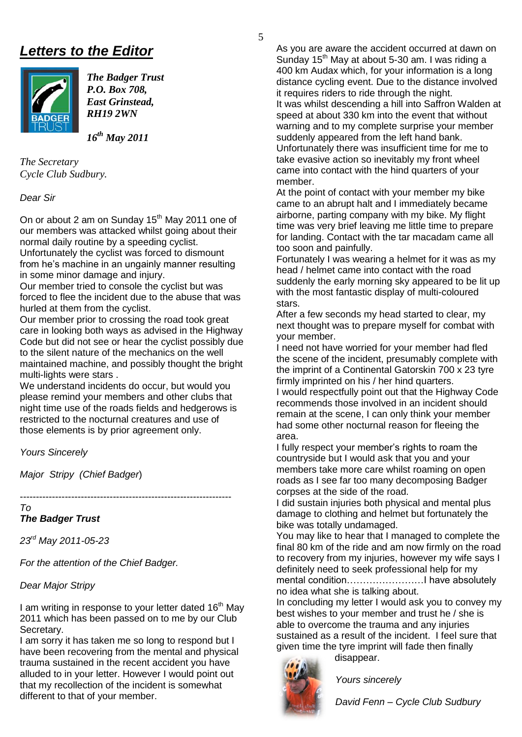# *Letters to the Editor*



*The Badger Trust P.O. Box 708, East Grinstead, RH19 2WN* 

*16th May 2011* 

*The Secretary Cycle Club Sudbury.* 

*Dear Sir*

On or about 2 am on Sunday 15<sup>th</sup> May 2011 one of our members was attacked whilst going about their normal daily routine by a speeding cyclist. Unfortunately the cyclist was forced to dismount from he's machine in an ungainly manner resulting in some minor damage and injury.

Our member tried to console the cyclist but was forced to flee the incident due to the abuse that was hurled at them from the cyclist.

Our member prior to crossing the road took great care in looking both ways as advised in the Highway Code but did not see or hear the cyclist possibly due to the silent nature of the mechanics on the well maintained machine, and possibly thought the bright multi-lights were stars .

We understand incidents do occur, but would you please remind your members and other clubs that night time use of the roads fields and hedgerows is restricted to the nocturnal creatures and use of those elements is by prior agreement only.

*Yours Sincerely*

*Major Stripy (Chief Badger*)

------------------------------------------------------------------

*To The Badger Trust*

*23rd May 2011-05-23*

*For the attention of the Chief Badger.*

#### *Dear Major Stripy*

I am writing in response to your letter dated  $16<sup>th</sup>$  May 2011 which has been passed on to me by our Club Secretary.

I am sorry it has taken me so long to respond but I have been recovering from the mental and physical trauma sustained in the recent accident you have alluded to in your letter. However I would point out that my recollection of the incident is somewhat different to that of your member.

As you are aware the accident occurred at dawn on Sunday 15<sup>th</sup> May at about 5-30 am. I was riding a 400 km Audax which, for your information is a long distance cycling event. Due to the distance involved it requires riders to ride through the night. It was whilst descending a hill into Saffron Walden at speed at about 330 km into the event that without warning and to my complete surprise your member suddenly appeared from the left hand bank. Unfortunately there was insufficient time for me to take evasive action so inevitably my front wheel came into contact with the hind quarters of your member.

At the point of contact with your member my bike came to an abrupt halt and I immediately became airborne, parting company with my bike. My flight time was very brief leaving me little time to prepare for landing. Contact with the tar macadam came all too soon and painfully.

Fortunately I was wearing a helmet for it was as my head / helmet came into contact with the road suddenly the early morning sky appeared to be lit up with the most fantastic display of multi-coloured stars.

After a few seconds my head started to clear, my next thought was to prepare myself for combat with your member.

I need not have worried for your member had fled the scene of the incident, presumably complete with the imprint of a Continental Gatorskin 700 x 23 tyre firmly imprinted on his / her hind quarters. I would respectfully point out that the Highway Code recommends those involved in an incident should remain at the scene, I can only think your member had some other nocturnal reason for fleeing the area.

I fully respect your member"s rights to roam the countryside but I would ask that you and your members take more care whilst roaming on open roads as I see far too many decomposing Badger corpses at the side of the road.

I did sustain injuries both physical and mental plus damage to clothing and helmet but fortunately the bike was totally undamaged.

You may like to hear that I managed to complete the final 80 km of the ride and am now firmly on the road to recovery from my injuries, however my wife says I definitely need to seek professional help for my mental condition……………………I have absolutely no idea what she is talking about.

In concluding my letter I would ask you to convey my best wishes to your member and trust he / she is able to overcome the trauma and any injuries sustained as a result of the incident. I feel sure that given time the tyre imprint will fade then finally disappear.



*Yours sincerely*

*David Fenn – Cycle Club Sudbury*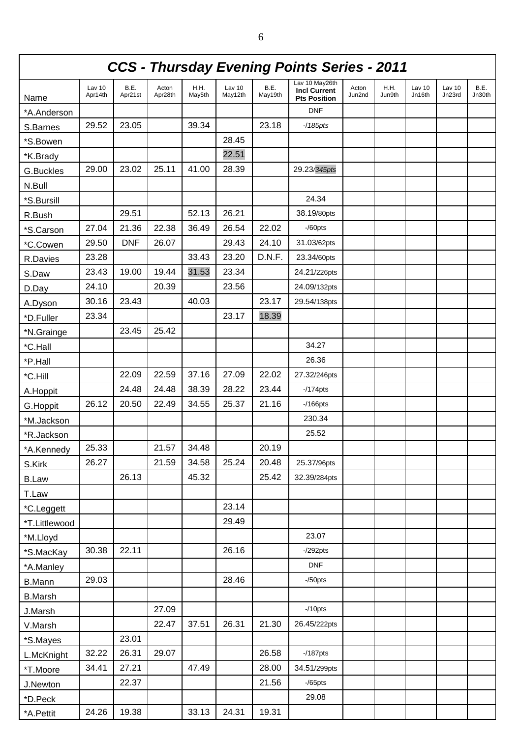| <b>CCS - Thursday Evening Points Series - 2011</b> |                   |                 |                  |                |                   |                 |                                                              |                 |                |                  |                  |                |
|----------------------------------------------------|-------------------|-----------------|------------------|----------------|-------------------|-----------------|--------------------------------------------------------------|-----------------|----------------|------------------|------------------|----------------|
| Name                                               | Lav 10<br>Apr14th | B.E.<br>Apr21st | Acton<br>Apr28th | H.H.<br>May5th | Lav 10<br>May12th | B.E.<br>May19th | Lav 10 May26th<br><b>Incl Current</b><br><b>Pts Position</b> | Acton<br>Jun2nd | H.H.<br>Jun9th | Lav 10<br>Jn16th | Lav 10<br>Jn23rd | B.E.<br>Jn30th |
| *A.Anderson                                        |                   |                 |                  |                |                   |                 | <b>DNF</b>                                                   |                 |                |                  |                  |                |
| S.Barnes                                           | 29.52             | 23.05           |                  | 39.34          |                   | 23.18           | $-185$ pts                                                   |                 |                |                  |                  |                |
| *S.Bowen                                           |                   |                 |                  |                | 28.45             |                 |                                                              |                 |                |                  |                  |                |
| *K.Brady                                           |                   |                 |                  |                | 22.51             |                 |                                                              |                 |                |                  |                  |                |
| G.Buckles                                          | 29.00             | 23.02           | 25.11            | 41.00          | 28.39             |                 | 29.23/345pts                                                 |                 |                |                  |                  |                |
| N.Bull                                             |                   |                 |                  |                |                   |                 |                                                              |                 |                |                  |                  |                |
| *S.Bursill                                         |                   |                 |                  |                |                   |                 | 24.34                                                        |                 |                |                  |                  |                |
| R.Bush                                             |                   | 29.51           |                  | 52.13          | 26.21             |                 | 38.19/80pts                                                  |                 |                |                  |                  |                |
| *S.Carson                                          | 27.04             | 21.36           | 22.38            | 36.49          | 26.54             | 22.02           | $-$ /60pts                                                   |                 |                |                  |                  |                |
| *C.Cowen                                           | 29.50             | <b>DNF</b>      | 26.07            |                | 29.43             | 24.10           | 31.03/62pts                                                  |                 |                |                  |                  |                |
| R.Davies                                           | 23.28             |                 |                  | 33.43          | 23.20             | D.N.F.          | 23.34/60pts                                                  |                 |                |                  |                  |                |
| S.Daw                                              | 23.43             | 19.00           | 19.44            | 31.53          | 23.34             |                 | 24.21/226pts                                                 |                 |                |                  |                  |                |
| D.Day                                              | 24.10             |                 | 20.39            |                | 23.56             |                 | 24.09/132pts                                                 |                 |                |                  |                  |                |
| A.Dyson                                            | 30.16             | 23.43           |                  | 40.03          |                   | 23.17           | 29.54/138pts                                                 |                 |                |                  |                  |                |
| *D.Fuller                                          | 23.34             |                 |                  |                | 23.17             | 18.39           |                                                              |                 |                |                  |                  |                |
| *N.Grainge                                         |                   | 23.45           | 25.42            |                |                   |                 |                                                              |                 |                |                  |                  |                |
| *C.Hall                                            |                   |                 |                  |                |                   |                 | 34.27                                                        |                 |                |                  |                  |                |
| *P.Hall                                            |                   |                 |                  |                |                   |                 | 26.36                                                        |                 |                |                  |                  |                |
| *C.Hill                                            |                   | 22.09           | 22.59            | 37.16          | 27.09             | 22.02           | 27.32/246pts                                                 |                 |                |                  |                  |                |
| A.Hoppit                                           |                   | 24.48           | 24.48            | 38.39          | 28.22             | 23.44           | $-174$ pts                                                   |                 |                |                  |                  |                |
| G.Hoppit                                           | 26.12             | 20.50           | 22.49            | 34.55          | 25.37             | 21.16           | $-166$ pts                                                   |                 |                |                  |                  |                |
| *M.Jackson                                         |                   |                 |                  |                |                   |                 | 230.34                                                       |                 |                |                  |                  |                |
| *R.Jackson                                         |                   |                 |                  |                |                   |                 | 25.52                                                        |                 |                |                  |                  |                |
| A.Kennedy                                          | 25.33             |                 | 21.57            | 34.48          |                   | 20.19           |                                                              |                 |                |                  |                  |                |
| S.Kirk                                             | 26.27             |                 | 21.59            | 34.58          | 25.24             | 20.48           | 25.37/96pts                                                  |                 |                |                  |                  |                |
| <b>B.Law</b>                                       |                   | 26.13           |                  | 45.32          |                   | 25.42           | 32.39/284pts                                                 |                 |                |                  |                  |                |
| T.Law                                              |                   |                 |                  |                |                   |                 |                                                              |                 |                |                  |                  |                |
| *C.Leggett                                         |                   |                 |                  |                | 23.14             |                 |                                                              |                 |                |                  |                  |                |
| *T.Littlewood                                      |                   |                 |                  |                | 29.49             |                 |                                                              |                 |                |                  |                  |                |
| *M.Lloyd                                           |                   |                 |                  |                |                   |                 | 23.07                                                        |                 |                |                  |                  |                |
| *S.MacKay                                          | 30.38             | 22.11           |                  |                | 26.16             |                 | $-292$ pts                                                   |                 |                |                  |                  |                |
| *A.Manley                                          |                   |                 |                  |                |                   |                 | <b>DNF</b>                                                   |                 |                |                  |                  |                |
| <b>B.Mann</b>                                      | 29.03             |                 |                  |                | 28.46             |                 | $-$ /50pts                                                   |                 |                |                  |                  |                |
| <b>B.Marsh</b>                                     |                   |                 |                  |                |                   |                 |                                                              |                 |                |                  |                  |                |
| J.Marsh                                            |                   |                 | 27.09            |                |                   |                 | $-10$ pts                                                    |                 |                |                  |                  |                |
| V.Marsh                                            |                   |                 | 22.47            | 37.51          | 26.31             | 21.30           | 26.45/222pts                                                 |                 |                |                  |                  |                |
| *S.Mayes                                           |                   | 23.01           |                  |                |                   |                 |                                                              |                 |                |                  |                  |                |
| L.McKnight                                         | 32.22             | 26.31           | 29.07            |                |                   | 26.58           | $-187$ pts                                                   |                 |                |                  |                  |                |
| *T.Moore                                           | 34.41             | 27.21           |                  | 47.49          |                   | 28.00           | 34.51/299pts                                                 |                 |                |                  |                  |                |
| J.Newton                                           |                   | 22.37           |                  |                |                   | 21.56           | $-$ /65pts                                                   |                 |                |                  |                  |                |
| *D.Peck                                            |                   |                 |                  |                |                   |                 | 29.08                                                        |                 |                |                  |                  |                |
| *A.Pettit                                          | 24.26             | 19.38           |                  | 33.13          | 24.31             | 19.31           |                                                              |                 |                |                  |                  |                |